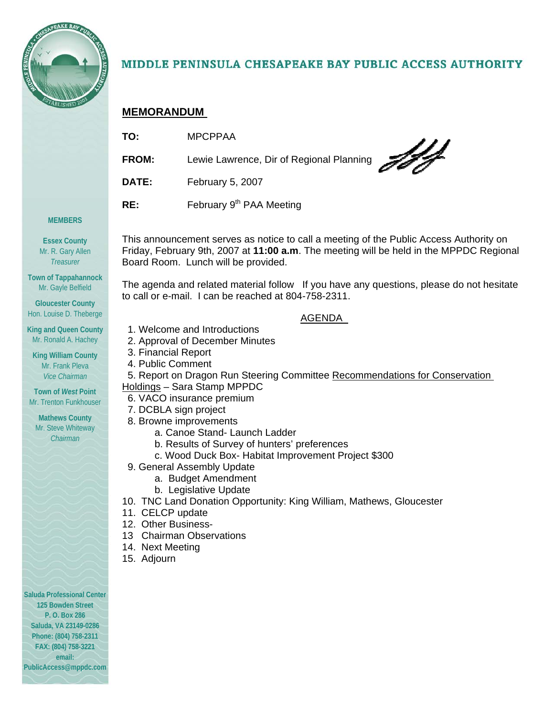

# MIDDLE PENINSULA CHESAPEAKE BAY PUBLIC ACCESS AUTHORITY

### **MEMORANDUM**

| TO:   | <b>MPCPPAA</b>                                  |
|-------|-------------------------------------------------|
| FROM: | 775<br>Lewie Lawrence, Dir of Regional Planning |
| DATE: | February 5, 2007                                |
| RE:   | February 9 <sup>th</sup> PAA Meeting            |
|       |                                                 |

#### **MEMBERS**

**Essex County**  Mr. R. Gary Allen *Treasurer* 

**Town of Tappahannock**  Mr. Gayle Belfield

**Gloucester County**  Hon. Louise D. Theberge

**King and Queen County**  Mr. Ronald A. Hachey

**King William County**  Mr. Frank Pleva *Vice Chairman* 

**Town of** *West* **Point**  Mr. Trenton Funkhouser

**Mathews County**  Mr. Steve Whiteway *Chairman* 

This announcement serves as notice to call a meeting of the Public Access Authority on Friday, February 9th, 2007 at **11:00 a.m**. The meeting will be held in the MPPDC Regional Board Room. Lunch will be provided.

The agenda and related material follow If you have any questions, please do not hesitate to call or e-mail. I can be reached at 804-758-2311.

#### AGENDA

- 1. Welcome and Introductions
- 2. Approval of December Minutes
- 3. Financial Report
- 4. Public Comment
- 5. Report on Dragon Run Steering Committee Recommendations for Conservation Holdings – Sara Stamp MPPDC

## 6. VACO insurance premium

- 7. DCBLA sign project
- 8. Browne improvements
	- a. Canoe Stand- Launch Ladder
	- b. Results of Survey of hunters' preferences
	- c. Wood Duck Box- Habitat Improvement Project \$300
- 9. General Assembly Update
	- a. Budget Amendment
	- b. Legislative Update
- 10. TNC Land Donation Opportunity: King William, Mathews, Gloucester
- 11. CELCP update
- 12. Other Business-
- 13 Chairman Observations
- 14. Next Meeting
- 15. Adjourn

**Saluda Professional Center 125 Bowden Street P. O. Box 286 Saluda, VA 23149-0286 Phone: (804) 758-2311 FAX: (804) 758-3221 email: PublicAccess@mppdc.com**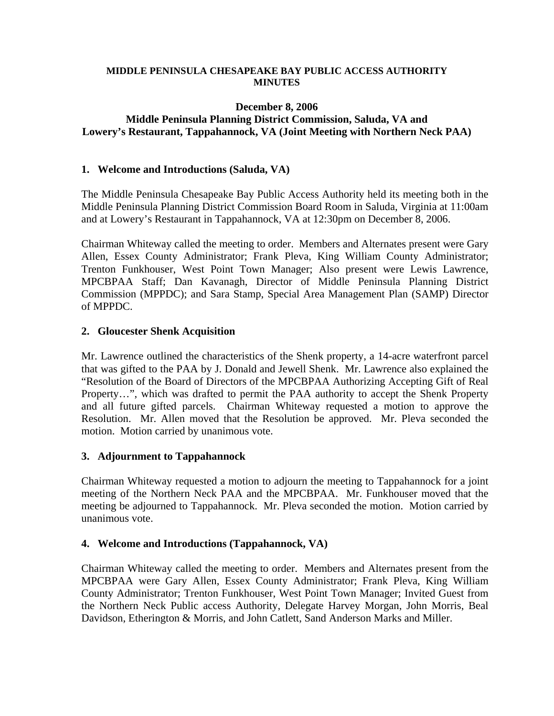#### **MIDDLE PENINSULA CHESAPEAKE BAY PUBLIC ACCESS AUTHORITY MINUTES**

#### **December 8, 2006 Middle Peninsula Planning District Commission, Saluda, VA and Lowery's Restaurant, Tappahannock, VA (Joint Meeting with Northern Neck PAA)**

#### **1. Welcome and Introductions (Saluda, VA)**

The Middle Peninsula Chesapeake Bay Public Access Authority held its meeting both in the Middle Peninsula Planning District Commission Board Room in Saluda, Virginia at 11:00am and at Lowery's Restaurant in Tappahannock, VA at 12:30pm on December 8, 2006.

Chairman Whiteway called the meeting to order. Members and Alternates present were Gary Allen, Essex County Administrator; Frank Pleva, King William County Administrator; Trenton Funkhouser, West Point Town Manager; Also present were Lewis Lawrence, MPCBPAA Staff; Dan Kavanagh, Director of Middle Peninsula Planning District Commission (MPPDC); and Sara Stamp, Special Area Management Plan (SAMP) Director of MPPDC.

#### **2. Gloucester Shenk Acquisition**

Mr. Lawrence outlined the characteristics of the Shenk property, a 14-acre waterfront parcel that was gifted to the PAA by J. Donald and Jewell Shenk. Mr. Lawrence also explained the "Resolution of the Board of Directors of the MPCBPAA Authorizing Accepting Gift of Real Property…", which was drafted to permit the PAA authority to accept the Shenk Property and all future gifted parcels. Chairman Whiteway requested a motion to approve the Resolution. Mr. Allen moved that the Resolution be approved. Mr. Pleva seconded the motion. Motion carried by unanimous vote.

#### **3. Adjournment to Tappahannock**

Chairman Whiteway requested a motion to adjourn the meeting to Tappahannock for a joint meeting of the Northern Neck PAA and the MPCBPAA. Mr. Funkhouser moved that the meeting be adjourned to Tappahannock. Mr. Pleva seconded the motion. Motion carried by unanimous vote.

#### **4. Welcome and Introductions (Tappahannock, VA)**

Chairman Whiteway called the meeting to order. Members and Alternates present from the MPCBPAA were Gary Allen, Essex County Administrator; Frank Pleva, King William County Administrator; Trenton Funkhouser, West Point Town Manager; Invited Guest from the Northern Neck Public access Authority, Delegate Harvey Morgan, John Morris, Beal Davidson, Etherington & Morris, and John Catlett, Sand Anderson Marks and Miller.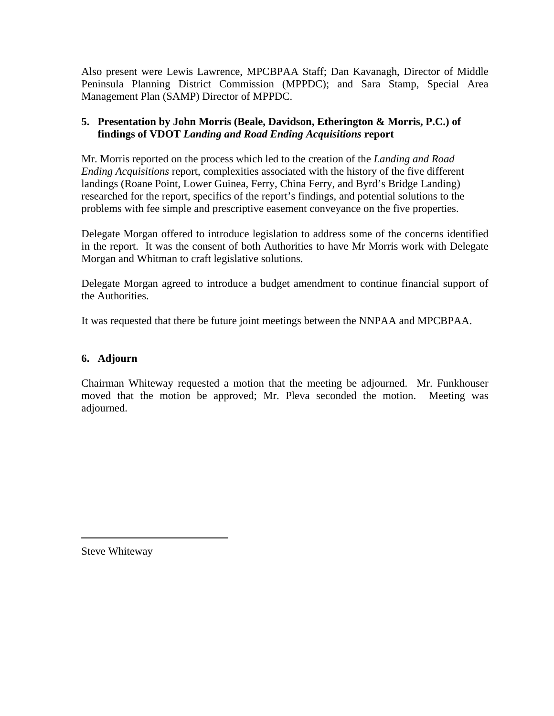Also present were Lewis Lawrence, MPCBPAA Staff; Dan Kavanagh, Director of Middle Peninsula Planning District Commission (MPPDC); and Sara Stamp, Special Area Management Plan (SAMP) Director of MPPDC.

### **5. Presentation by John Morris (Beale, Davidson, Etherington & Morris, P.C.) of findings of VDOT** *Landing and Road Ending Acquisitions* **report**

Mr. Morris reported on the process which led to the creation of the *Landing and Road Ending Acquisitions* report, complexities associated with the history of the five different landings (Roane Point, Lower Guinea, Ferry, China Ferry, and Byrd's Bridge Landing) researched for the report, specifics of the report's findings, and potential solutions to the problems with fee simple and prescriptive easement conveyance on the five properties.

Delegate Morgan offered to introduce legislation to address some of the concerns identified in the report. It was the consent of both Authorities to have Mr Morris work with Delegate Morgan and Whitman to craft legislative solutions.

Delegate Morgan agreed to introduce a budget amendment to continue financial support of the Authorities.

It was requested that there be future joint meetings between the NNPAA and MPCBPAA.

### **6. Adjourn**

Chairman Whiteway requested a motion that the meeting be adjourned. Mr. Funkhouser moved that the motion be approved; Mr. Pleva seconded the motion. Meeting was adjourned.

Steve Whiteway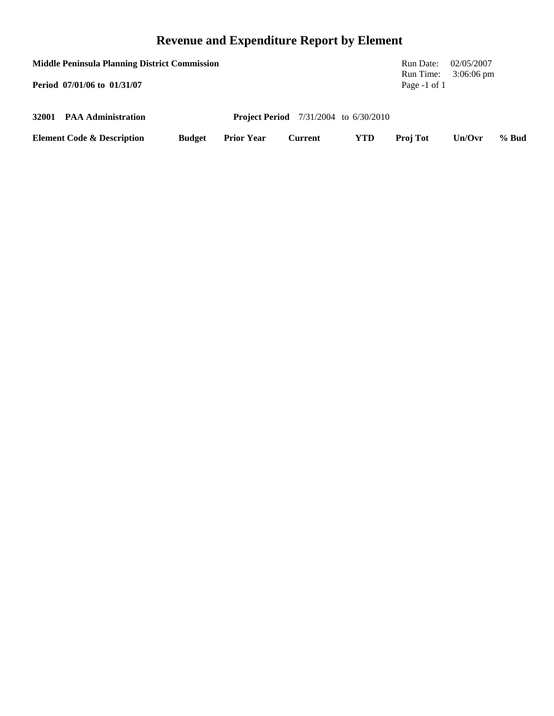# **Revenue and Expenditure Report by Element**

| <b>Middle Peninsula Planning District Commission</b><br>Period 07/01/06 to 01/31/07 |                                       |               |                   |                                              |            | Run Date:<br>Run Time:<br>Page $-1$ of 1 | 02/05/2007<br>$3:06:06 \text{ pm}$ |       |
|-------------------------------------------------------------------------------------|---------------------------------------|---------------|-------------------|----------------------------------------------|------------|------------------------------------------|------------------------------------|-------|
|                                                                                     | 32001 PAA Administration              |               |                   | <b>Project Period</b> 7/31/2004 to 6/30/2010 |            |                                          |                                    |       |
|                                                                                     | <b>Element Code &amp; Description</b> | <b>Budget</b> | <b>Prior Year</b> | Current                                      | <b>YTD</b> | <b>Proj Tot</b>                          | Un/Ovr                             | % Bud |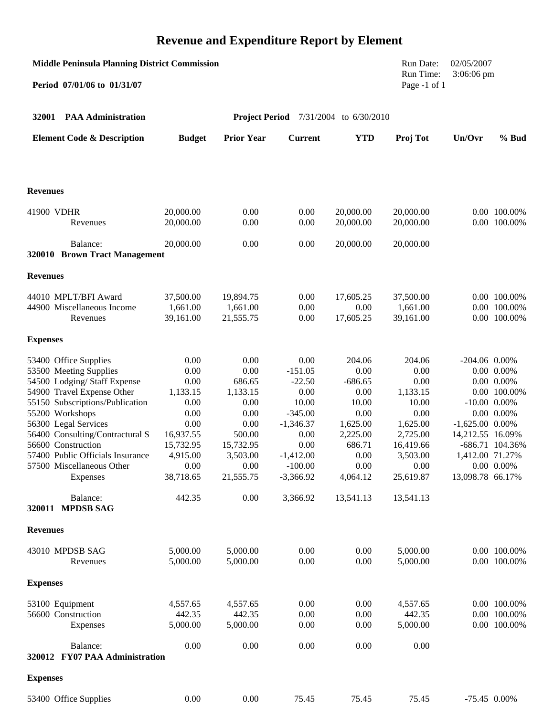# **Revenue and Expenditure Report by Element**

| <b>Middle Peninsula Planning District Commission</b><br>Period 07/01/06 to 01/31/07 |                   |                   |                          | Run Date:<br>Run Time:<br>Page -1 of 1       | 02/05/2007<br>$3:06:06$ pm |                   |                                   |
|-------------------------------------------------------------------------------------|-------------------|-------------------|--------------------------|----------------------------------------------|----------------------------|-------------------|-----------------------------------|
| 32001<br><b>PAA Administration</b>                                                  |                   |                   |                          | <b>Project Period</b> 7/31/2004 to 6/30/2010 |                            |                   |                                   |
| <b>Element Code &amp; Description</b>                                               | <b>Budget</b>     | <b>Prior Year</b> | <b>Current</b>           | <b>YTD</b>                                   | Proj Tot                   | Un/Ovr            | $%$ Bud                           |
| <b>Revenues</b>                                                                     |                   |                   |                          |                                              |                            |                   |                                   |
| 41900 VDHR                                                                          | 20,000.00         | 0.00              | 0.00                     | 20,000.00                                    | 20,000.00                  |                   | 0.00 100.00%                      |
| Revenues                                                                            | 20,000.00         | 0.00              | 0.00                     | 20,000.00                                    | 20,000.00                  |                   | 0.00 100.00%                      |
| Balance:<br>320010 Brown Tract Management                                           | 20,000.00         | 0.00              | 0.00                     | 20,000.00                                    | 20,000.00                  |                   |                                   |
| <b>Revenues</b>                                                                     |                   |                   |                          |                                              |                            |                   |                                   |
| 44010 MPLT/BFI Award                                                                | 37,500.00         | 19,894.75         | 0.00                     | 17,605.25                                    | 37,500.00                  |                   | 0.00 100.00%                      |
| 44900 Miscellaneous Income                                                          | 1,661.00          | 1,661.00          | 0.00                     | 0.00                                         | 1,661.00                   |                   | 0.00 100.00%                      |
| Revenues                                                                            | 39,161.00         | 21,555.75         | 0.00                     | 17,605.25                                    | 39,161.00                  |                   | 0.00 100.00%                      |
| <b>Expenses</b>                                                                     |                   |                   |                          |                                              |                            |                   |                                   |
| 53400 Office Supplies                                                               | 0.00              | 0.00              | 0.00                     | 204.06                                       | 204.06                     | $-204.06$ 0.00%   |                                   |
| 53500 Meeting Supplies                                                              | 0.00              | 0.00              | $-151.05$                | 0.00                                         | 0.00                       |                   | $0.00\ 0.00\%$                    |
| 54500 Lodging/ Staff Expense                                                        | 0.00              | 686.65            | $-22.50$                 | $-686.65$                                    | 0.00                       |                   | $0.00\ 0.00\%$                    |
| 54900 Travel Expense Other<br>55150 Subscriptions/Publication                       | 1,133.15<br>0.00  | 1,133.15<br>0.00  | 0.00<br>10.00            | 0.00<br>10.00                                | 1,133.15<br>10.00          |                   | 0.00 100.00%<br>$-10.00$ $0.00\%$ |
| 55200 Workshops                                                                     | 0.00              | 0.00              | $-345.00$                | 0.00                                         | 0.00                       |                   | $0.00\ 0.00\%$                    |
| 56300 Legal Services                                                                | 0.00              | 0.00              | $-1,346.37$              | 1,625.00                                     | 1,625.00                   | $-1,625.00$ 0.00% |                                   |
| 56400 Consulting/Contractural S                                                     | 16,937.55         | 500.00            | 0.00                     | 2,225.00                                     | 2,725.00                   | 14,212.55 16.09%  |                                   |
| 56600 Construction                                                                  | 15,732.95         | 15,732.95         | 0.00                     | 686.71                                       | 16,419.66                  |                   | -686.71 104.36%                   |
| 57400 Public Officials Insurance                                                    | 4,915.00          | 3,503.00          | $-1,412.00$              | 0.00                                         | 3,503.00                   | 1,412.00 71.27%   |                                   |
| 57500 Miscellaneous Other<br>Expenses                                               | 0.00<br>38,718.65 | 0.00<br>21,555.75 | $-100.00$<br>$-3,366.92$ | 0.00<br>4,064.12                             | 0.00<br>25,619.87          | 13,098.78 66.17%  | $0.00\ 0.00\%$                    |
|                                                                                     |                   |                   |                          |                                              |                            |                   |                                   |
| Balance:<br>320011 MPDSB SAG                                                        | 442.35            | 0.00              | 3,366.92                 | 13,541.13                                    | 13,541.13                  |                   |                                   |
| <b>Revenues</b>                                                                     |                   |                   |                          |                                              |                            |                   |                                   |
| 43010 MPDSB SAG                                                                     | 5,000.00          | 5,000.00          | 0.00                     | 0.00                                         | 5,000.00                   |                   | 0.00 100.00%                      |
| Revenues                                                                            | 5,000.00          | 5,000.00          | 0.00                     | 0.00                                         | 5,000.00                   |                   | 0.00 100.00%                      |
| <b>Expenses</b>                                                                     |                   |                   |                          |                                              |                            |                   |                                   |
| 53100 Equipment                                                                     | 4,557.65          | 4,557.65          | 0.00                     | 0.00                                         | 4,557.65                   |                   | 0.00 100.00%                      |
| 56600 Construction                                                                  | 442.35            | 442.35            | 0.00                     | 0.00                                         | 442.35                     |                   | 0.00 100.00%                      |
| Expenses                                                                            | 5,000.00          | 5,000.00          | 0.00                     | 0.00                                         | 5,000.00                   |                   | 0.00 100.00%                      |
| Balance:<br>320012 FY07 PAA Administration                                          | 0.00              | 0.00              | 0.00                     | 0.00                                         | 0.00                       |                   |                                   |
|                                                                                     |                   |                   |                          |                                              |                            |                   |                                   |
| <b>Expenses</b>                                                                     |                   |                   |                          |                                              |                            |                   |                                   |
| 53400 Office Supplies                                                               | $0.00\,$          | 0.00              | 75.45                    | 75.45                                        | 75.45                      |                   | $-75.45$ 0.00%                    |